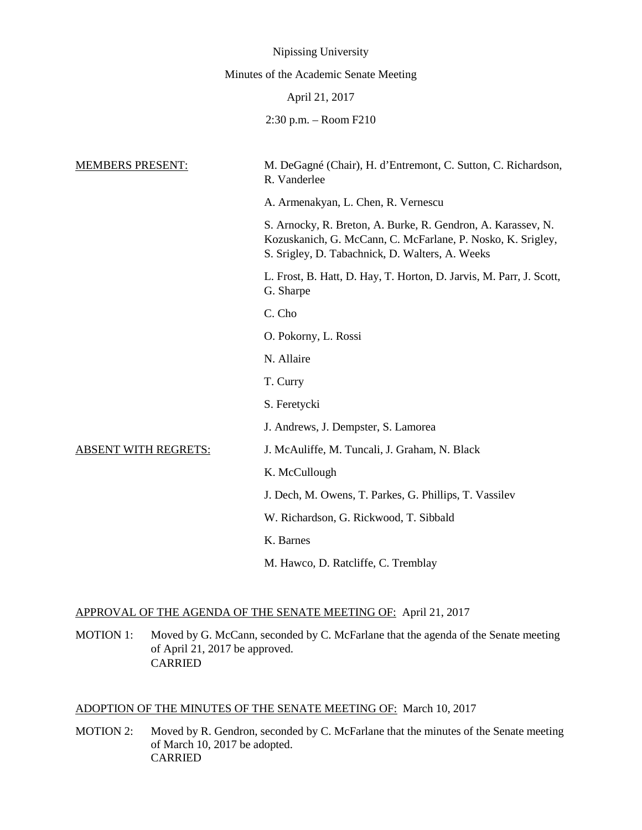|                                        | Nipissing University                                                                                                                                                           |
|----------------------------------------|--------------------------------------------------------------------------------------------------------------------------------------------------------------------------------|
| Minutes of the Academic Senate Meeting |                                                                                                                                                                                |
| April 21, 2017                         |                                                                                                                                                                                |
|                                        | $2:30$ p.m. $-$ Room $F210$                                                                                                                                                    |
|                                        |                                                                                                                                                                                |
| <b>MEMBERS PRESENT:</b>                | M. DeGagné (Chair), H. d'Entremont, C. Sutton, C. Richardson,<br>R. Vanderlee                                                                                                  |
|                                        | A. Armenakyan, L. Chen, R. Vernescu                                                                                                                                            |
|                                        | S. Arnocky, R. Breton, A. Burke, R. Gendron, A. Karassev, N.<br>Kozuskanich, G. McCann, C. McFarlane, P. Nosko, K. Srigley,<br>S. Srigley, D. Tabachnick, D. Walters, A. Weeks |
|                                        | L. Frost, B. Hatt, D. Hay, T. Horton, D. Jarvis, M. Parr, J. Scott,<br>G. Sharpe                                                                                               |
|                                        | C. Cho                                                                                                                                                                         |
|                                        | O. Pokorny, L. Rossi                                                                                                                                                           |
|                                        | N. Allaire                                                                                                                                                                     |
|                                        | T. Curry                                                                                                                                                                       |
|                                        | S. Feretycki                                                                                                                                                                   |
|                                        | J. Andrews, J. Dempster, S. Lamorea                                                                                                                                            |
| <b>ABSENT WITH REGRETS:</b>            | J. McAuliffe, M. Tuncali, J. Graham, N. Black                                                                                                                                  |
|                                        | K. McCullough                                                                                                                                                                  |
|                                        | J. Dech, M. Owens, T. Parkes, G. Phillips, T. Vassilev                                                                                                                         |
|                                        | W. Richardson, G. Rickwood, T. Sibbald                                                                                                                                         |
|                                        | K. Barnes                                                                                                                                                                      |
|                                        | M. Hawco, D. Ratcliffe, C. Tremblay                                                                                                                                            |

# APPROVAL OF THE AGENDA OF THE SENATE MEETING OF: April 21, 2017

MOTION 1: Moved by G. McCann, seconded by C. McFarlane that the agenda of the Senate meeting of April 21, 2017 be approved. CARRIED

## ADOPTION OF THE MINUTES OF THE SENATE MEETING OF: March 10, 2017

MOTION 2: Moved by R. Gendron, seconded by C. McFarlane that the minutes of the Senate meeting of March 10, 2017 be adopted. CARRIED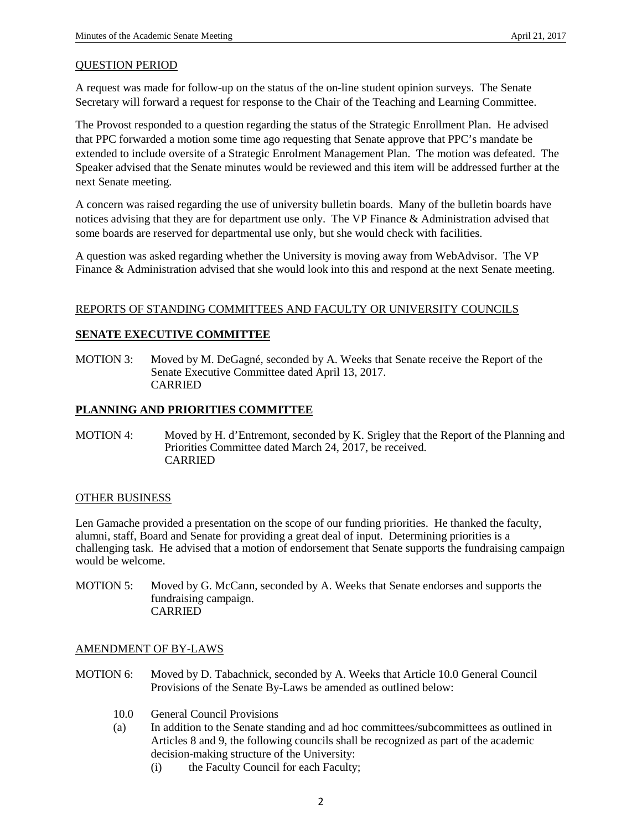#### QUESTION PERIOD

A request was made for follow-up on the status of the on-line student opinion surveys. The Senate Secretary will forward a request for response to the Chair of the Teaching and Learning Committee.

The Provost responded to a question regarding the status of the Strategic Enrollment Plan. He advised that PPC forwarded a motion some time ago requesting that Senate approve that PPC's mandate be extended to include oversite of a Strategic Enrolment Management Plan. The motion was defeated. The Speaker advised that the Senate minutes would be reviewed and this item will be addressed further at the next Senate meeting.

A concern was raised regarding the use of university bulletin boards. Many of the bulletin boards have notices advising that they are for department use only. The VP Finance & Administration advised that some boards are reserved for departmental use only, but she would check with facilities.

A question was asked regarding whether the University is moving away from WebAdvisor. The VP Finance & Administration advised that she would look into this and respond at the next Senate meeting.

### REPORTS OF STANDING COMMITTEES AND FACULTY OR UNIVERSITY COUNCILS

## **SENATE EXECUTIVE COMMITTEE**

MOTION 3: Moved by M. DeGagné, seconded by A. Weeks that Senate receive the Report of the Senate Executive Committee dated April 13, 2017. CARRIED

## **PLANNING AND PRIORITIES COMMITTEE**

MOTION 4: Moved by H. d'Entremont, seconded by K. Srigley that the Report of the Planning and Priorities Committee dated March 24, 2017, be received. CARRIED

#### OTHER BUSINESS

Len Gamache provided a presentation on the scope of our funding priorities. He thanked the faculty, alumni, staff, Board and Senate for providing a great deal of input. Determining priorities is a challenging task. He advised that a motion of endorsement that Senate supports the fundraising campaign would be welcome.

MOTION 5: Moved by G. McCann, seconded by A. Weeks that Senate endorses and supports the fundraising campaign. CARRIED

#### AMENDMENT OF BY-LAWS

- MOTION 6: Moved by D. Tabachnick, seconded by A. Weeks that Article 10.0 General Council Provisions of the Senate By-Laws be amended as outlined below:
	- 10.0 General Council Provisions
	- (a) In addition to the Senate standing and ad hoc committees/subcommittees as outlined in Articles 8 and 9, the following councils shall be recognized as part of the academic decision-making structure of the University:
		- (i) the Faculty Council for each Faculty;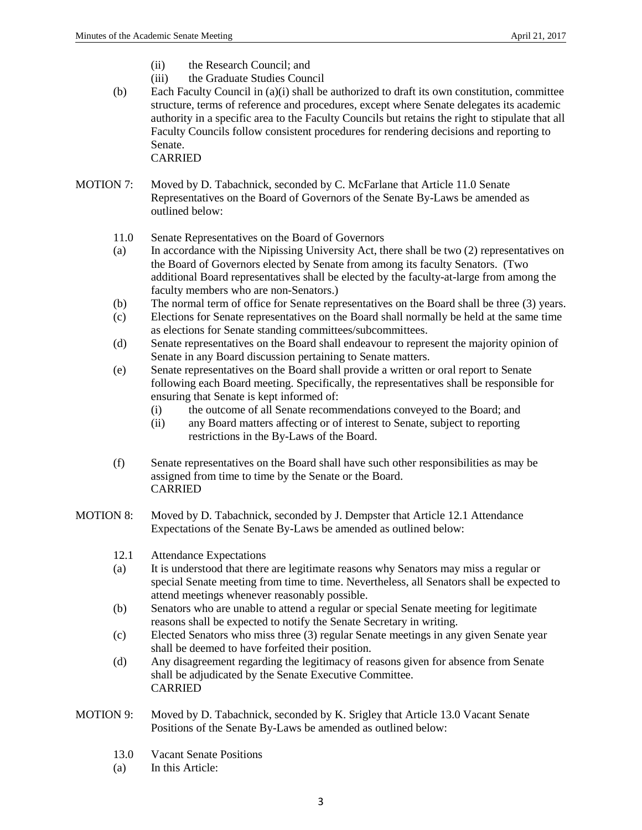- (ii) the Research Council; and
- (iii) the Graduate Studies Council
- (b) Each Faculty Council in (a)(i) shall be authorized to draft its own constitution, committee structure, terms of reference and procedures, except where Senate delegates its academic authority in a specific area to the Faculty Councils but retains the right to stipulate that all Faculty Councils follow consistent procedures for rendering decisions and reporting to Senate. CARRIED

MOTION 7: Moved by D. Tabachnick, seconded by C. McFarlane that Article 11.0 Senate Representatives on the Board of Governors of the Senate By-Laws be amended as outlined below:

- 11.0 Senate Representatives on the Board of Governors
- (a) In accordance with the Nipissing University Act, there shall be two (2) representatives on the Board of Governors elected by Senate from among its faculty Senators. (Two additional Board representatives shall be elected by the faculty-at-large from among the faculty members who are non-Senators.)
- (b) The normal term of office for Senate representatives on the Board shall be three (3) years.
- (c) Elections for Senate representatives on the Board shall normally be held at the same time as elections for Senate standing committees/subcommittees.
- (d) Senate representatives on the Board shall endeavour to represent the majority opinion of Senate in any Board discussion pertaining to Senate matters.
- (e) Senate representatives on the Board shall provide a written or oral report to Senate following each Board meeting. Specifically, the representatives shall be responsible for ensuring that Senate is kept informed of:
	- (i) the outcome of all Senate recommendations conveyed to the Board; and
	- (ii) any Board matters affecting or of interest to Senate, subject to reporting restrictions in the By-Laws of the Board.
- (f) Senate representatives on the Board shall have such other responsibilities as may be assigned from time to time by the Senate or the Board. CARRIED
- MOTION 8: Moved by D. Tabachnick, seconded by J. Dempster that Article 12.1 Attendance Expectations of the Senate By-Laws be amended as outlined below:
	- 12.1 Attendance Expectations
	- (a) It is understood that there are legitimate reasons why Senators may miss a regular or special Senate meeting from time to time. Nevertheless, all Senators shall be expected to attend meetings whenever reasonably possible.
	- (b) Senators who are unable to attend a regular or special Senate meeting for legitimate reasons shall be expected to notify the Senate Secretary in writing.
	- (c) Elected Senators who miss three (3) regular Senate meetings in any given Senate year shall be deemed to have forfeited their position.
	- (d) Any disagreement regarding the legitimacy of reasons given for absence from Senate shall be adjudicated by the Senate Executive Committee. CARRIED
- MOTION 9: Moved by D. Tabachnick, seconded by K. Srigley that Article 13.0 Vacant Senate Positions of the Senate By-Laws be amended as outlined below:
	- 13.0 Vacant Senate Positions
	- (a) In this Article: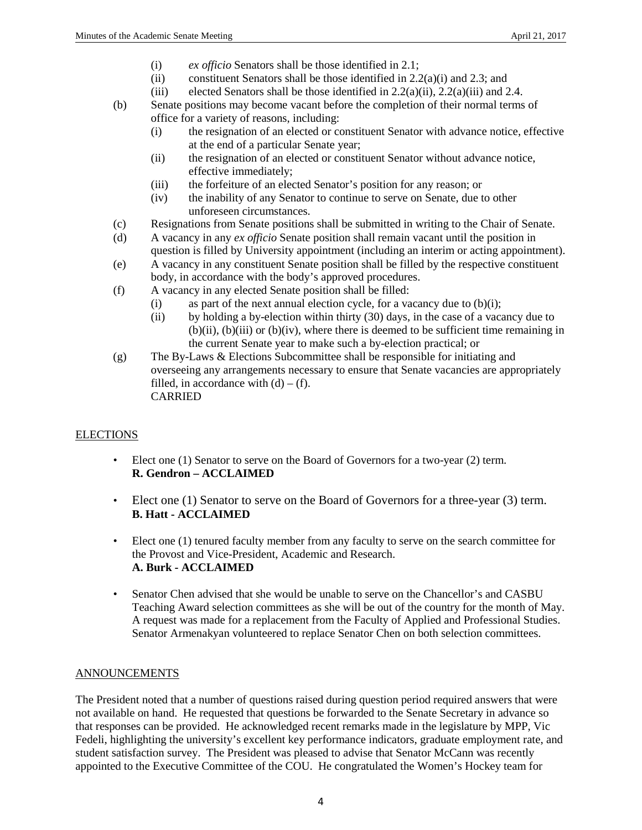- (i) *ex officio* Senators shall be those identified in 2.1;
- (ii) constituent Senators shall be those identified in  $2.2(a)(i)$  and  $2.3$ ; and
- (iii) elected Senators shall be those identified in  $2.2(a)(ii)$ ,  $2.2(a)(iii)$  and  $2.4$ .
- (b) Senate positions may become vacant before the completion of their normal terms of office for a variety of reasons, including:
	- (i) the resignation of an elected or constituent Senator with advance notice, effective at the end of a particular Senate year;
	- (ii) the resignation of an elected or constituent Senator without advance notice, effective immediately;
	- (iii) the forfeiture of an elected Senator's position for any reason; or
	- (iv) the inability of any Senator to continue to serve on Senate, due to other unforeseen circumstances.
- (c) Resignations from Senate positions shall be submitted in writing to the Chair of Senate.
- (d) A vacancy in any *ex officio* Senate position shall remain vacant until the position in question is filled by University appointment (including an interim or acting appointment).
- (e) A vacancy in any constituent Senate position shall be filled by the respective constituent body, in accordance with the body's approved procedures.
- (f) A vacancy in any elected Senate position shall be filled:
	- (i) as part of the next annual election cycle, for a vacancy due to  $(b)(i)$ ;
		- (ii) by holding a by-election within thirty (30) days, in the case of a vacancy due to  $(b)(ii)$ ,  $(b)(iii)$  or  $(b)(iv)$ , where there is deemed to be sufficient time remaining in the current Senate year to make such a by-election practical; or
- (g) The By-Laws & Elections Subcommittee shall be responsible for initiating and overseeing any arrangements necessary to ensure that Senate vacancies are appropriately filled, in accordance with  $(d) - (f)$ . CARRIED

## **ELECTIONS**

- Elect one (1) Senator to serve on the Board of Governors for a two-year (2) term. **R. Gendron – ACCLAIMED**
- Elect one (1) Senator to serve on the Board of Governors for a three-year (3) term. **B. Hatt - ACCLAIMED**
- Elect one (1) tenured faculty member from any faculty to serve on the search committee for the Provost and Vice-President, Academic and Research. **A. Burk - ACCLAIMED**
- Senator Chen advised that she would be unable to serve on the Chancellor's and CASBU Teaching Award selection committees as she will be out of the country for the month of May. A request was made for a replacement from the Faculty of Applied and Professional Studies. Senator Armenakyan volunteered to replace Senator Chen on both selection committees.

## ANNOUNCEMENTS

The President noted that a number of questions raised during question period required answers that were not available on hand. He requested that questions be forwarded to the Senate Secretary in advance so that responses can be provided. He acknowledged recent remarks made in the legislature by MPP, Vic Fedeli, highlighting the university's excellent key performance indicators, graduate employment rate, and student satisfaction survey. The President was pleased to advise that Senator McCann was recently appointed to the Executive Committee of the COU. He congratulated the Women's Hockey team for